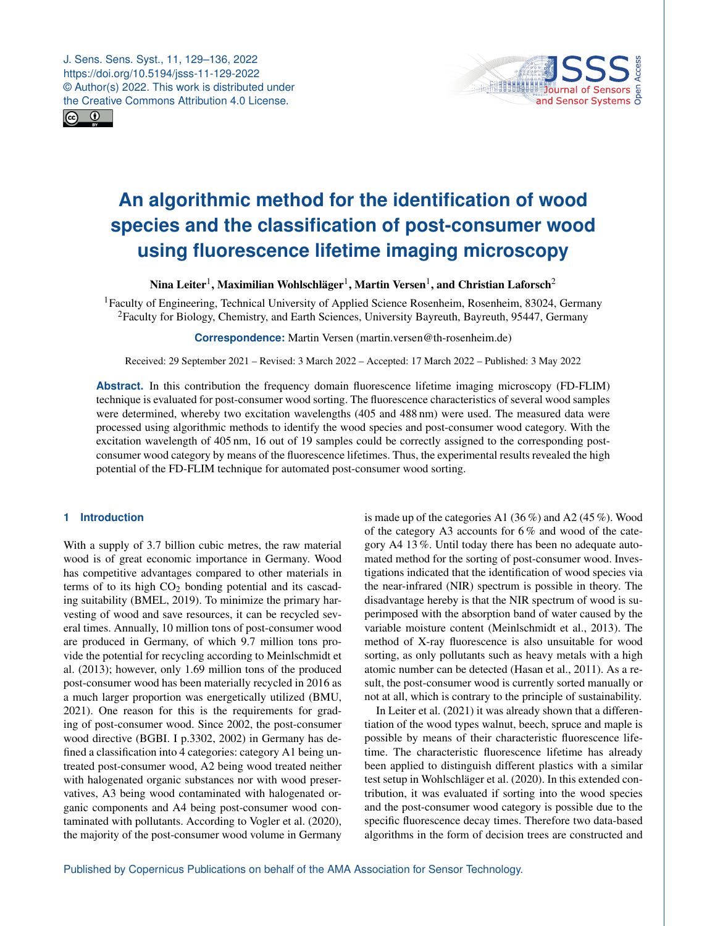J. Sens. Sens. Syst., 11, 129–136, 2022 https://doi.org/10.5194/jsss-11-129-2022 © Author(s) 2022. This work is distributed under the Creative Commons Attribution 4.0 License.





# **An algorithmic method for the identification of wood species and the classification of post-consumer wood using fluorescence lifetime imaging microscopy**

Nina Leiter $^1$  $^1$ , Maximilian Wohlschläger $^1$ , Martin Versen $^1$ , and Christian Laforsch $^2$  $^2$ 

<sup>1</sup>Faculty of Engineering, Technical University of Applied Science Rosenheim, Rosenheim, 83024, Germany <sup>2</sup>Faculty for Biology, Chemistry, and Earth Sciences, University Bayreuth, Bayreuth, 95447, Germany

**Correspondence:** Martin Versen (martin.versen@th-rosenheim.de)

Received: 29 September 2021 – Revised: 3 March 2022 – Accepted: 17 March 2022 – Published: 3 May 2022

**Abstract.** In this contribution the frequency domain fluorescence lifetime imaging microscopy (FD-FLIM) technique is evaluated for post-consumer wood sorting. The fluorescence characteristics of several wood samples were determined, whereby two excitation wavelengths (405 and 488 nm) were used. The measured data were processed using algorithmic methods to identify the wood species and post-consumer wood category. With the excitation wavelength of 405 nm, 16 out of 19 samples could be correctly assigned to the corresponding postconsumer wood category by means of the fluorescence lifetimes. Thus, the experimental results revealed the high potential of the FD-FLIM technique for automated post-consumer wood sorting.

## <span id="page-0-0"></span>**1 Introduction**

With a supply of 3.7 billion cubic metres, the raw material wood is of great economic importance in Germany. Wood has competitive advantages compared to other materials in terms of to its high  $CO<sub>2</sub>$  bonding potential and its cascading suitability (BMEL, 2019). To minimize the primary harvesting of wood and save resources, it can be recycled several times. Annually, 10 million tons of post-consumer wood are produced in Germany, of which 9.7 million tons provide the potential for recycling according to Meinlschmidt et al. (2013); however, only 1.69 million tons of the produced post-consumer wood has been materially recycled in 2016 as a much larger proportion was energetically utilized (BMU, 2021). One reason for this is the requirements for grading of post-consumer wood. Since 2002, the post-consumer wood directive (BGBI. I p.3302, 2002) in Germany has defined a classification into 4 categories: category A1 being untreated post-consumer wood, A2 being wood treated neither with halogenated organic substances nor with wood preservatives, A3 being wood contaminated with halogenated organic components and A4 being post-consumer wood contaminated with pollutants. According to Vogler et al. (2020), the majority of the post-consumer wood volume in Germany is made up of the categories A1 (36 %) and A2 (45 %). Wood of the category A3 accounts for 6 % and wood of the category A4 13 %. Until today there has been no adequate automated method for the sorting of post-consumer wood. Investigations indicated that the identification of wood species via the near-infrared (NIR) spectrum is possible in theory. The disadvantage hereby is that the NIR spectrum of wood is superimposed with the absorption band of water caused by the variable moisture content (Meinlschmidt et al., 2013). The method of X-ray fluorescence is also unsuitable for wood sorting, as only pollutants such as heavy metals with a high atomic number can be detected (Hasan et al., 2011). As a result, the post-consumer wood is currently sorted manually or not at all, which is contrary to the principle of sustainability.

In Leiter et al. (2021) it was already shown that a differentiation of the wood types walnut, beech, spruce and maple is possible by means of their characteristic fluorescence lifetime. The characteristic fluorescence lifetime has already been applied to distinguish different plastics with a similar test setup in Wohlschläger et al. (2020). In this extended contribution, it was evaluated if sorting into the wood species and the post-consumer wood category is possible due to the specific fluorescence decay times. Therefore two data-based algorithms in the form of decision trees are constructed and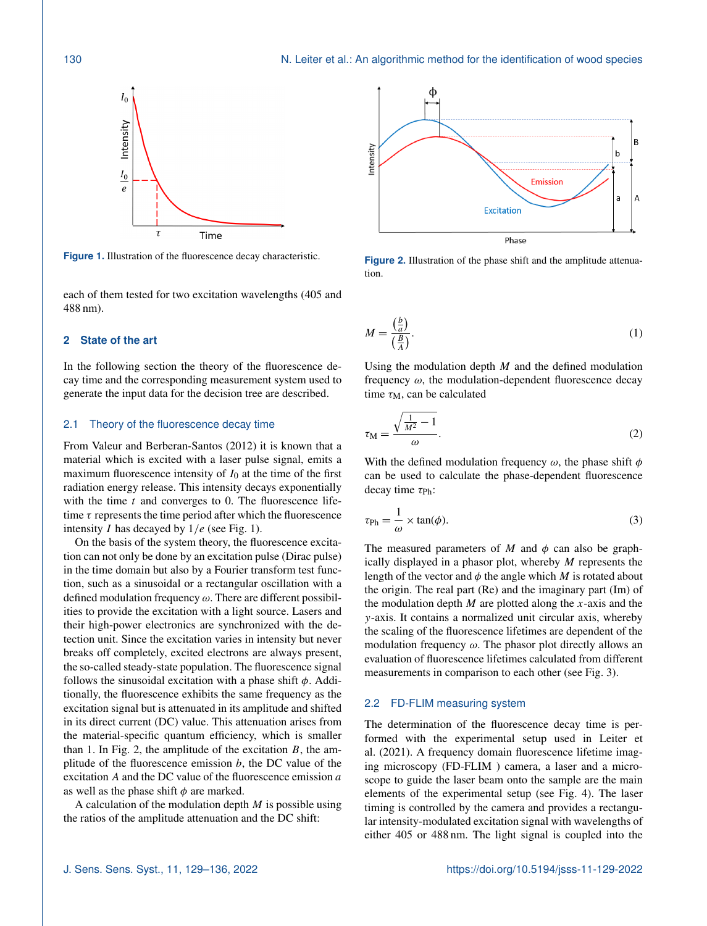

**Figure 1.** Illustration of the fluorescence decay characteristic.

each of them tested for two excitation wavelengths (405 and 488 nm).

#### **2 State of the art**

In the following section the theory of the fluorescence decay time and the corresponding measurement system used to generate the input data for the decision tree are described.

#### 2.1 Theory of the fluorescence decay time

From Valeur and Berberan-Santos (2012) it is known that a material which is excited with a laser pulse signal, emits a maximum fluorescence intensity of  $I_0$  at the time of the first radiation energy release. This intensity decays exponentially with the time  $t$  and converges to 0. The fluorescence lifetime  $\tau$  represents the time period after which the fluorescence intensity *I* has decayed by  $1/e$  (see Fig. 1).

On the basis of the system theory, the fluorescence excitation can not only be done by an excitation pulse (Dirac pulse) in the time domain but also by a Fourier transform test function, such as a sinusoidal or a rectangular oscillation with a defined modulation frequency  $\omega$ . There are different possibilities to provide the excitation with a light source. Lasers and their high-power electronics are synchronized with the detection unit. Since the excitation varies in intensity but never breaks off completely, excited electrons are always present, the so-called steady-state population. The fluorescence signal follows the sinusoidal excitation with a phase shift  $\phi$ . Additionally, the fluorescence exhibits the same frequency as the excitation signal but is attenuated in its amplitude and shifted in its direct current (DC) value. This attenuation arises from the material-specific quantum efficiency, which is smaller than 1. In Fig. 2, the amplitude of the excitation  $B$ , the amplitude of the fluorescence emission  $b$ , the DC value of the excitation  $A$  and the DC value of the fluorescence emission  $a$ as well as the phase shift  $\phi$  are marked.

A calculation of the modulation depth  $M$  is possible using the ratios of the amplitude attenuation and the DC shift:



**Figure 2.** Illustration of the phase shift and the amplitude attenuation.

$$
M = \frac{\left(\frac{b}{a}\right)}{\left(\frac{B}{A}\right)}.\tag{1}
$$

Using the modulation depth  $M$  and the defined modulation frequency  $\omega$ , the modulation-dependent fluorescence decay time  $\tau_M$ , can be calculated

$$
\tau_{\rm M} = \frac{\sqrt{\frac{1}{M^2} - 1}}{\omega}.
$$
 (2)

With the defined modulation frequency  $\omega$ , the phase shift  $\phi$ can be used to calculate the phase-dependent fluorescence decay time  $\tau_{\text{Ph}}$ :

$$
\tau_{\rm Ph} = \frac{1}{\omega} \times \tan(\phi). \tag{3}
$$

The measured parameters of M and  $\phi$  can also be graphically displayed in a phasor plot, whereby M represents the length of the vector and  $\phi$  the angle which M is rotated about the origin. The real part (Re) and the imaginary part (Im) of the modulation depth  $M$  are plotted along the x-axis and the y-axis. It contains a normalized unit circular axis, whereby the scaling of the fluorescence lifetimes are dependent of the modulation frequency  $\omega$ . The phasor plot directly allows an evaluation of fluorescence lifetimes calculated from different measurements in comparison to each other (see Fig. 3).

## 2.2 FD-FLIM measuring system

The determination of the fluorescence decay time is performed with the experimental setup used in Leiter et al. (2021). A frequency domain fluorescence lifetime imaging microscopy (FD-FLIM ) camera, a laser and a microscope to guide the laser beam onto the sample are the main elements of the experimental setup (see Fig. 4). The laser timing is controlled by the camera and provides a rectangular intensity-modulated excitation signal with wavelengths of either 405 or 488 nm. The light signal is coupled into the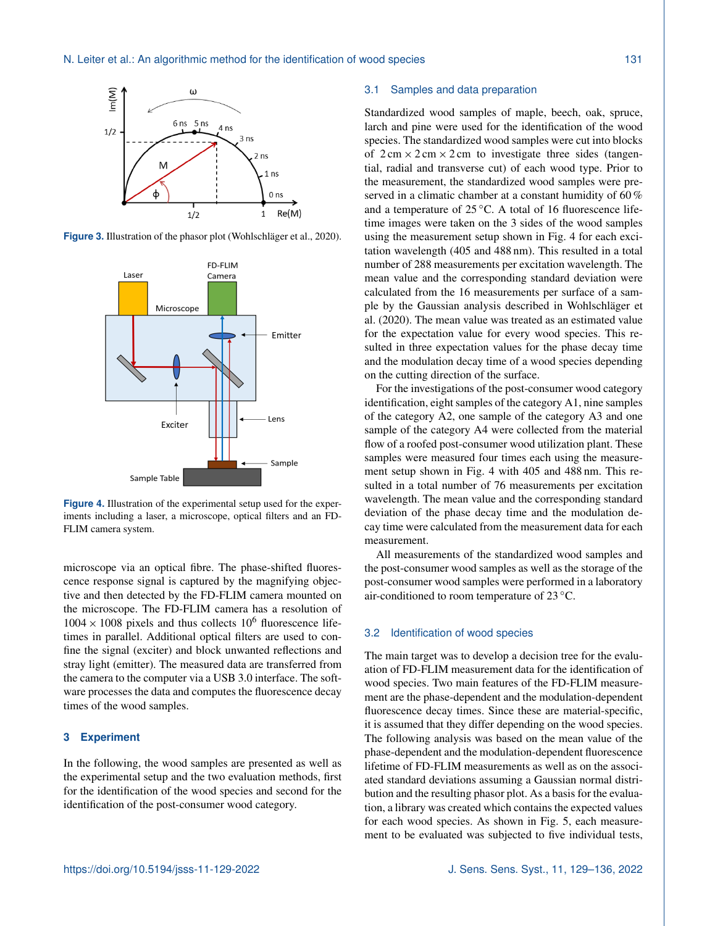

**Figure 3.** Illustration of the phasor plot (Wohlschläger et al., 2020).



**Figure 4.** Illustration of the experimental setup used for the experiments including a laser, a microscope, optical filters and an FD-FLIM camera system.

microscope via an optical fibre. The phase-shifted fluorescence response signal is captured by the magnifying objective and then detected by the FD-FLIM camera mounted on the microscope. The FD-FLIM camera has a resolution of  $1004 \times 1008$  pixels and thus collects  $10^6$  fluorescence lifetimes in parallel. Additional optical filters are used to confine the signal (exciter) and block unwanted reflections and stray light (emitter). The measured data are transferred from the camera to the computer via a USB 3.0 interface. The software processes the data and computes the fluorescence decay times of the wood samples.

## **3 Experiment**

In the following, the wood samples are presented as well as the experimental setup and the two evaluation methods, first for the identification of the wood species and second for the identification of the post-consumer wood category.

#### 3.1 Samples and data preparation

Standardized wood samples of maple, beech, oak, spruce, larch and pine were used for the identification of the wood species. The standardized wood samples were cut into blocks of  $2 \text{ cm} \times 2 \text{ cm} \times 2 \text{ cm}$  to investigate three sides (tangential, radial and transverse cut) of each wood type. Prior to the measurement, the standardized wood samples were preserved in a climatic chamber at a constant humidity of 60 % and a temperature of 25 ◦C. A total of 16 fluorescence lifetime images were taken on the 3 sides of the wood samples using the measurement setup shown in Fig. 4 for each excitation wavelength (405 and 488 nm). This resulted in a total number of 288 measurements per excitation wavelength. The mean value and the corresponding standard deviation were calculated from the 16 measurements per surface of a sample by the Gaussian analysis described in Wohlschläger et al. (2020). The mean value was treated as an estimated value for the expectation value for every wood species. This resulted in three expectation values for the phase decay time and the modulation decay time of a wood species depending on the cutting direction of the surface.

For the investigations of the post-consumer wood category identification, eight samples of the category A1, nine samples of the category A2, one sample of the category A3 and one sample of the category A4 were collected from the material flow of a roofed post-consumer wood utilization plant. These samples were measured four times each using the measurement setup shown in Fig. 4 with 405 and 488 nm. This resulted in a total number of 76 measurements per excitation wavelength. The mean value and the corresponding standard deviation of the phase decay time and the modulation decay time were calculated from the measurement data for each measurement.

All measurements of the standardized wood samples and the post-consumer wood samples as well as the storage of the post-consumer wood samples were performed in a laboratory air-conditioned to room temperature of 23 ◦C.

#### 3.2 Identification of wood species

The main target was to develop a decision tree for the evaluation of FD-FLIM measurement data for the identification of wood species. Two main features of the FD-FLIM measurement are the phase-dependent and the modulation-dependent fluorescence decay times. Since these are material-specific, it is assumed that they differ depending on the wood species. The following analysis was based on the mean value of the phase-dependent and the modulation-dependent fluorescence lifetime of FD-FLIM measurements as well as on the associated standard deviations assuming a Gaussian normal distribution and the resulting phasor plot. As a basis for the evaluation, a library was created which contains the expected values for each wood species. As shown in Fig. 5, each measurement to be evaluated was subjected to five individual tests,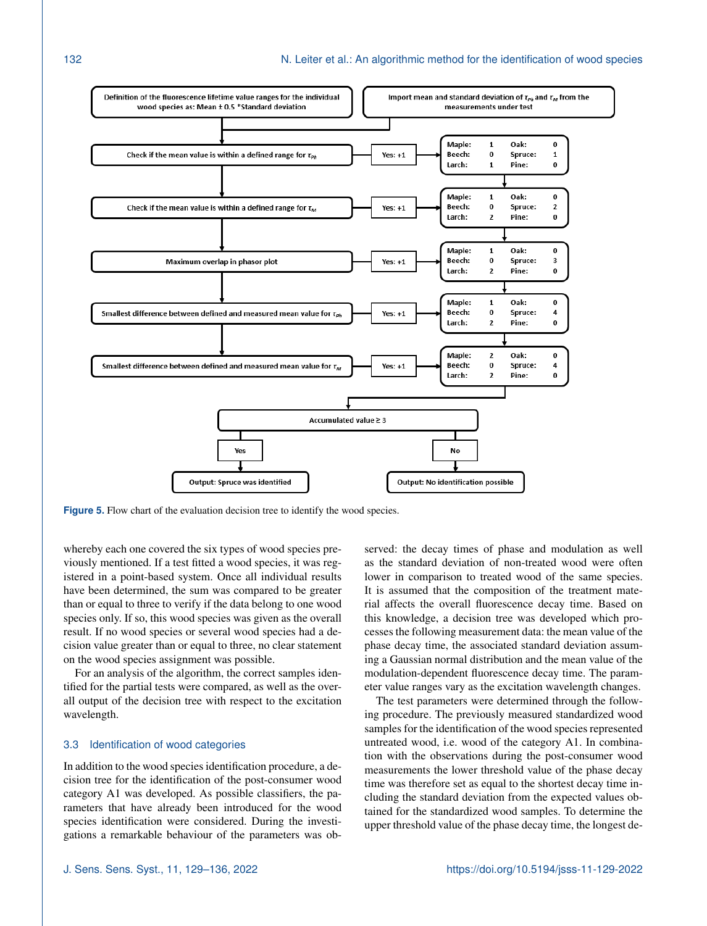

**Figure 5.** Flow chart of the evaluation decision tree to identify the wood species.

whereby each one covered the six types of wood species previously mentioned. If a test fitted a wood species, it was registered in a point-based system. Once all individual results have been determined, the sum was compared to be greater than or equal to three to verify if the data belong to one wood species only. If so, this wood species was given as the overall result. If no wood species or several wood species had a decision value greater than or equal to three, no clear statement on the wood species assignment was possible.

For an analysis of the algorithm, the correct samples identified for the partial tests were compared, as well as the overall output of the decision tree with respect to the excitation wavelength.

#### 3.3 Identification of wood categories

In addition to the wood species identification procedure, a decision tree for the identification of the post-consumer wood category A1 was developed. As possible classifiers, the parameters that have already been introduced for the wood species identification were considered. During the investigations a remarkable behaviour of the parameters was observed: the decay times of phase and modulation as well as the standard deviation of non-treated wood were often lower in comparison to treated wood of the same species. It is assumed that the composition of the treatment material affects the overall fluorescence decay time. Based on this knowledge, a decision tree was developed which processes the following measurement data: the mean value of the phase decay time, the associated standard deviation assuming a Gaussian normal distribution and the mean value of the modulation-dependent fluorescence decay time. The parameter value ranges vary as the excitation wavelength changes.

The test parameters were determined through the following procedure. The previously measured standardized wood samples for the identification of the wood species represented untreated wood, i.e. wood of the category A1. In combination with the observations during the post-consumer wood measurements the lower threshold value of the phase decay time was therefore set as equal to the shortest decay time including the standard deviation from the expected values obtained for the standardized wood samples. To determine the upper threshold value of the phase decay time, the longest de-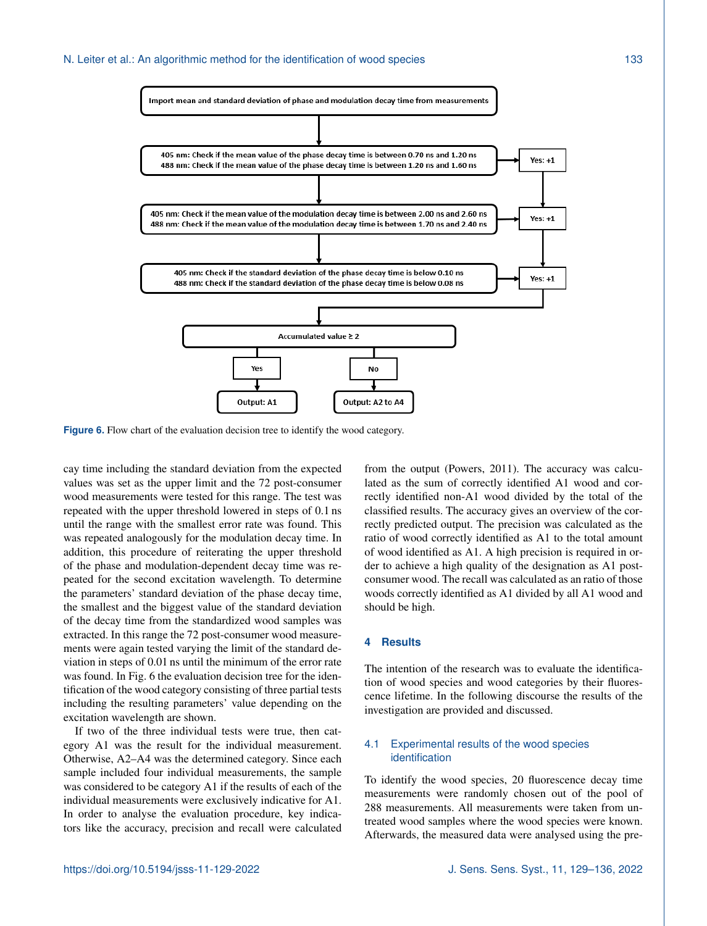

**Figure 6.** Flow chart of the evaluation decision tree to identify the wood category.

cay time including the standard deviation from the expected values was set as the upper limit and the 72 post-consumer wood measurements were tested for this range. The test was repeated with the upper threshold lowered in steps of 0.1 ns until the range with the smallest error rate was found. This was repeated analogously for the modulation decay time. In addition, this procedure of reiterating the upper threshold of the phase and modulation-dependent decay time was repeated for the second excitation wavelength. To determine the parameters' standard deviation of the phase decay time, the smallest and the biggest value of the standard deviation of the decay time from the standardized wood samples was extracted. In this range the 72 post-consumer wood measurements were again tested varying the limit of the standard deviation in steps of 0.01 ns until the minimum of the error rate was found. In Fig. 6 the evaluation decision tree for the identification of the wood category consisting of three partial tests including the resulting parameters' value depending on the excitation wavelength are shown.

If two of the three individual tests were true, then category A1 was the result for the individual measurement. Otherwise, A2–A4 was the determined category. Since each sample included four individual measurements, the sample was considered to be category A1 if the results of each of the individual measurements were exclusively indicative for A1. In order to analyse the evaluation procedure, key indicators like the accuracy, precision and recall were calculated

from the output (Powers, 2011). The accuracy was calculated as the sum of correctly identified A1 wood and correctly identified non-A1 wood divided by the total of the classified results. The accuracy gives an overview of the correctly predicted output. The precision was calculated as the ratio of wood correctly identified as A1 to the total amount of wood identified as A1. A high precision is required in order to achieve a high quality of the designation as A1 postconsumer wood. The recall was calculated as an ratio of those woods correctly identified as A1 divided by all A1 wood and should be high.

## **4 Results**

The intention of the research was to evaluate the identification of wood species and wood categories by their fluorescence lifetime. In the following discourse the results of the investigation are provided and discussed.

# 4.1 Experimental results of the wood species identification

To identify the wood species, 20 fluorescence decay time measurements were randomly chosen out of the pool of 288 measurements. All measurements were taken from untreated wood samples where the wood species were known. Afterwards, the measured data were analysed using the pre-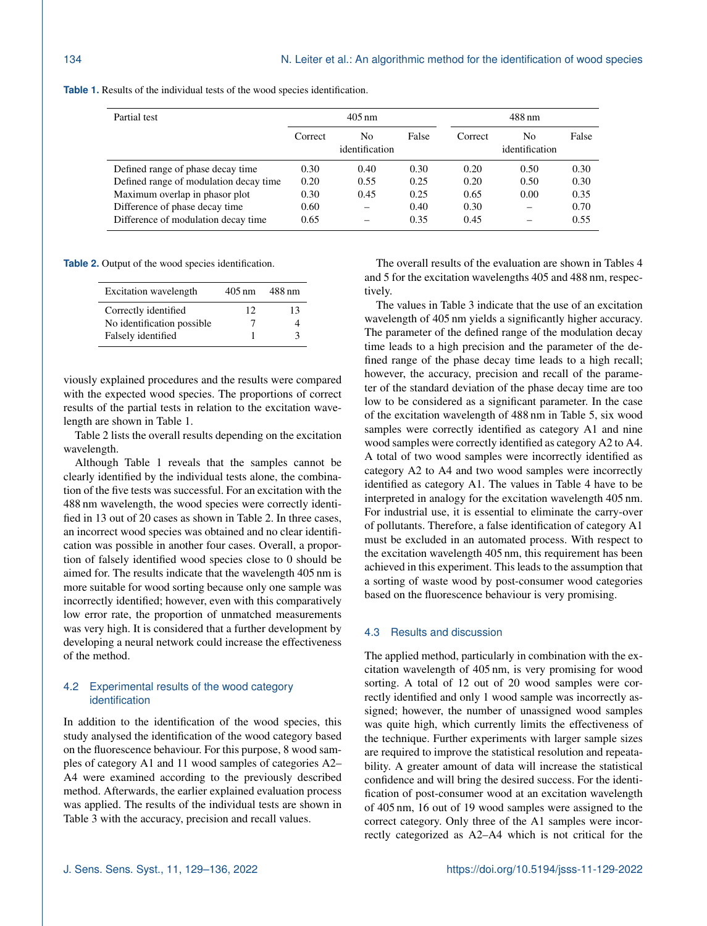| Partial test                           | $405 \,\mathrm{nm}$ |                      |       | 488 nm  |                      |       |
|----------------------------------------|---------------------|----------------------|-------|---------|----------------------|-------|
|                                        | Correct             | No<br>identification | False | Correct | No<br>identification | False |
| Defined range of phase decay time      | 0.30                | 0.40                 | 0.30  | 0.20    | 0.50                 | 0.30  |
| Defined range of modulation decay time | 0.20                | 0.55                 | 0.25  | 0.20    | 0.50                 | 0.30  |
| Maximum overlap in phasor plot         | 0.30                | 0.45                 | 0.25  | 0.65    | 0.00                 | 0.35  |
| Difference of phase decay time         | 0.60                |                      | 0.40  | 0.30    |                      | 0.70  |
| Difference of modulation decay time    | 0.65                |                      | 0.35  | 0.45    |                      | 0.55  |

**Table 1.** Results of the individual tests of the wood species identification.

**Table 2.** Output of the wood species identification.

| Excitation wavelength       | $405 \,\mathrm{nm}$ | 488 nm |
|-----------------------------|---------------------|--------|
| Correctly identified        | 12                  | 13     |
| No identification possible. |                     |        |
| Falsely identified          |                     |        |

viously explained procedures and the results were compared with the expected wood species. The proportions of correct results of the partial tests in relation to the excitation wavelength are shown in Table 1.

Table 2 lists the overall results depending on the excitation wavelength.

Although Table 1 reveals that the samples cannot be clearly identified by the individual tests alone, the combination of the five tests was successful. For an excitation with the 488 nm wavelength, the wood species were correctly identified in 13 out of 20 cases as shown in Table 2. In three cases, an incorrect wood species was obtained and no clear identification was possible in another four cases. Overall, a proportion of falsely identified wood species close to 0 should be aimed for. The results indicate that the wavelength 405 nm is more suitable for wood sorting because only one sample was incorrectly identified; however, even with this comparatively low error rate, the proportion of unmatched measurements was very high. It is considered that a further development by developing a neural network could increase the effectiveness of the method.

## 4.2 Experimental results of the wood category identification

In addition to the identification of the wood species, this study analysed the identification of the wood category based on the fluorescence behaviour. For this purpose, 8 wood samples of category A1 and 11 wood samples of categories A2– A4 were examined according to the previously described method. Afterwards, the earlier explained evaluation process was applied. The results of the individual tests are shown in Table 3 with the accuracy, precision and recall values.

The overall results of the evaluation are shown in Tables 4 and 5 for the excitation wavelengths 405 and 488 nm, respectively.

The values in Table 3 indicate that the use of an excitation wavelength of 405 nm yields a significantly higher accuracy. The parameter of the defined range of the modulation decay time leads to a high precision and the parameter of the defined range of the phase decay time leads to a high recall; however, the accuracy, precision and recall of the parameter of the standard deviation of the phase decay time are too low to be considered as a significant parameter. In the case of the excitation wavelength of 488 nm in Table 5, six wood samples were correctly identified as category A1 and nine wood samples were correctly identified as category A2 to A4. A total of two wood samples were incorrectly identified as category A2 to A4 and two wood samples were incorrectly identified as category A1. The values in Table 4 have to be interpreted in analogy for the excitation wavelength 405 nm. For industrial use, it is essential to eliminate the carry-over of pollutants. Therefore, a false identification of category A1 must be excluded in an automated process. With respect to the excitation wavelength 405 nm, this requirement has been achieved in this experiment. This leads to the assumption that a sorting of waste wood by post-consumer wood categories based on the fluorescence behaviour is very promising.

#### 4.3 Results and discussion

The applied method, particularly in combination with the excitation wavelength of 405 nm, is very promising for wood sorting. A total of 12 out of 20 wood samples were correctly identified and only 1 wood sample was incorrectly assigned; however, the number of unassigned wood samples was quite high, which currently limits the effectiveness of the technique. Further experiments with larger sample sizes are required to improve the statistical resolution and repeatability. A greater amount of data will increase the statistical confidence and will bring the desired success. For the identification of post-consumer wood at an excitation wavelength of 405 nm, 16 out of 19 wood samples were assigned to the correct category. Only three of the A1 samples were incorrectly categorized as A2–A4 which is not critical for the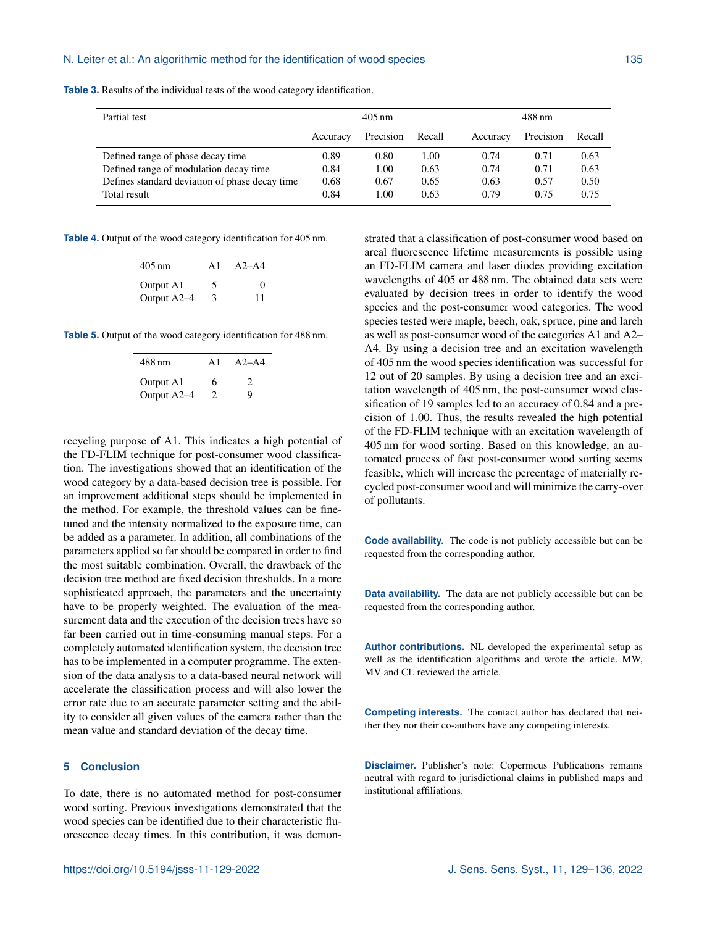| Partial test                                   | $405 \text{ nm}$ |           |        | 488 nm   |           |        |
|------------------------------------------------|------------------|-----------|--------|----------|-----------|--------|
|                                                | Accuracy         | Precision | Recall | Accuracy | Precision | Recall |
| Defined range of phase decay time              | 0.89             | 0.80      | 1.00   | 0.74     | 0.71      | 0.63   |
| Defined range of modulation decay time         | 0.84             | 1.00      | 0.63   | 0.74     | 0.71      | 0.63   |
| Defines standard deviation of phase decay time | 0.68             | 0.67      | 0.65   | 0.63     | 0.57      | 0.50   |
| Total result                                   | 0.84             | 1.00      | 0.63   | 0.79     | 0.75      | 0.75   |

**Table 3.** Results of the individual tests of the wood category identification.

**Table 4.** Output of the wood category identification for 405 nm.

| $405 \text{ nm}$ | A1 | $A2 - A4$         |
|------------------|----|-------------------|
| Output A1        | `` | $\mathbf{\Omega}$ |
| Output A2-4      | З  | 11                |

**Table 5.** Output of the wood category identification for 488 nm.

| 488 nm      | Αl | $A2 - A4$ |
|-------------|----|-----------|
| Output A1   | 6  |           |
| Output A2-4 | 2  | Q         |

recycling purpose of A1. This indicates a high potential of the FD-FLIM technique for post-consumer wood classification. The investigations showed that an identification of the wood category by a data-based decision tree is possible. For an improvement additional steps should be implemented in the method. For example, the threshold values can be finetuned and the intensity normalized to the exposure time, can be added as a parameter. In addition, all combinations of the parameters applied so far should be compared in order to find the most suitable combination. Overall, the drawback of the decision tree method are fixed decision thresholds. In a more sophisticated approach, the parameters and the uncertainty have to be properly weighted. The evaluation of the measurement data and the execution of the decision trees have so far been carried out in time-consuming manual steps. For a completely automated identification system, the decision tree has to be implemented in a computer programme. The extension of the data analysis to a data-based neural network will accelerate the classification process and will also lower the error rate due to an accurate parameter setting and the ability to consider all given values of the camera rather than the mean value and standard deviation of the decay time.

#### **5 Conclusion**

To date, there is no automated method for post-consumer wood sorting. Previous investigations demonstrated that the wood species can be identified due to their characteristic fluorescence decay times. In this contribution, it was demonstrated that a classification of post-consumer wood based on areal fluorescence lifetime measurements is possible using an FD-FLIM camera and laser diodes providing excitation wavelengths of 405 or 488 nm. The obtained data sets were evaluated by decision trees in order to identify the wood species and the post-consumer wood categories. The wood species tested were maple, beech, oak, spruce, pine and larch as well as post-consumer wood of the categories A1 and A2– A4. By using a decision tree and an excitation wavelength of 405 nm the wood species identification was successful for 12 out of 20 samples. By using a decision tree and an excitation wavelength of 405 nm, the post-consumer wood classification of 19 samples led to an accuracy of 0.84 and a precision of 1.00. Thus, the results revealed the high potential of the FD-FLIM technique with an excitation wavelength of 405 nm for wood sorting. Based on this knowledge, an automated process of fast post-consumer wood sorting seems feasible, which will increase the percentage of materially recycled post-consumer wood and will minimize the carry-over of pollutants.

**Code availability.** The code is not publicly accessible but can be requested from the corresponding author.

**Data availability.** The data are not publicly accessible but can be requested from the corresponding author.

**Author contributions.** NL developed the experimental setup as well as the identification algorithms and wrote the article. MW, MV and CL reviewed the article.

**Competing interests.** The contact author has declared that neither they nor their co-authors have any competing interests.

**Disclaimer.** Publisher's note: Copernicus Publications remains neutral with regard to jurisdictional claims in published maps and institutional affiliations.